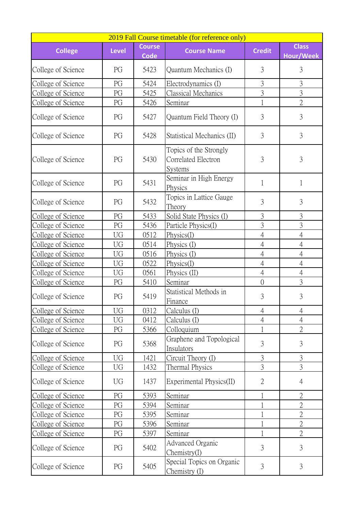|                    | 2019 Fall Course timetable (for reference only) |                              |                                                          |                |                                  |  |  |  |
|--------------------|-------------------------------------------------|------------------------------|----------------------------------------------------------|----------------|----------------------------------|--|--|--|
| <b>College</b>     | <b>Level</b>                                    | <b>Course</b><br><b>Code</b> | <b>Course Name</b>                                       | <b>Credit</b>  | <b>Class</b><br><b>Hour/Week</b> |  |  |  |
| College of Science | PG                                              | 5423                         | Quantum Mechanics (I)                                    | 3              | 3                                |  |  |  |
| College of Science | PG                                              | 5424                         | Electrodynamics (I)                                      | $\mathfrak{Z}$ | 3                                |  |  |  |
| College of Science | PG                                              | 5425                         | Classical Mechanics                                      | 3              | $\overline{3}$                   |  |  |  |
| College of Science | PG                                              | 5426                         | Seminar                                                  |                | $\overline{2}$                   |  |  |  |
| College of Science | PG                                              | 5427                         | Quantum Field Theory (I)                                 | 3              | 3                                |  |  |  |
| College of Science | PG                                              | 5428                         | Statistical Mechanics (II)                               | 3              | 3                                |  |  |  |
| College of Science | PG                                              | 5430                         | Topics of the Strongly<br>Correlated Electron<br>Systems | 3              | 3                                |  |  |  |
| College of Science | PG                                              | 5431                         | Seminar in High Energy<br>Physics                        | 1              | 1                                |  |  |  |
| College of Science | PG                                              | 5432                         | Topics in Lattice Gauge<br>Theory                        | 3              | 3                                |  |  |  |
| College of Science | PG                                              | 5433                         | Solid State Physics (I)                                  | $\overline{3}$ | $\overline{3}$                   |  |  |  |
| College of Science | PG                                              | 5436                         | Particle Physics(I)                                      | $\overline{3}$ | $\overline{3}$                   |  |  |  |
| College of Science | UG                                              | 0512                         | Physics(I)                                               | $\overline{4}$ | $\overline{4}$                   |  |  |  |
| College of Science | UG                                              | 0514                         | Physics (I)                                              | $\overline{4}$ | $\overline{4}$                   |  |  |  |
| College of Science | UG                                              | 0516                         | Physics (I)                                              | $\overline{4}$ | $\overline{4}$                   |  |  |  |
| College of Science | UG                                              | 0522                         | Physics(I)                                               | $\overline{4}$ | $\overline{4}$                   |  |  |  |
| College of Science | UG                                              | 0561                         | Physics (II)                                             | $\overline{4}$ | $\overline{4}$                   |  |  |  |
| College of Science | PG                                              | 5410                         | Seminar                                                  | $\overline{0}$ | 3                                |  |  |  |
| College of Science | PG                                              | 5419                         | Statistical Methods in<br>Finance                        | 3              | 3                                |  |  |  |
| College of Science | <b>UG</b>                                       | 0312                         | Calculus (I)                                             | $\overline{4}$ | $\overline{4}$                   |  |  |  |
| College of Science | UG                                              | 0412                         | Calculus (I)                                             | $\overline{4}$ | $\overline{4}$                   |  |  |  |
| College of Science | PG                                              | 5366                         | Colloquium                                               |                | $\overline{2}$                   |  |  |  |
| College of Science | PG                                              | 5368                         | Graphene and Topological<br>Insulators                   | $\overline{3}$ | 3                                |  |  |  |
| College of Science | <b>UG</b>                                       | 1421                         | Circuit Theory (I)                                       | $\overline{3}$ | $\overline{3}$                   |  |  |  |
| College of Science | UG                                              | 1432                         | Thermal Physics                                          | $\overline{3}$ | $\overline{3}$                   |  |  |  |
| College of Science | UG                                              | 1437                         | Experimental Physics(II)                                 | $\overline{2}$ | $\overline{4}$                   |  |  |  |
| College of Science | PG                                              | 5393                         | Seminar                                                  |                | $\overline{2}$                   |  |  |  |
| College of Science | PG                                              | 5394                         | Seminar                                                  |                | $\overline{2}$                   |  |  |  |
| College of Science | PG                                              | 5395                         | Seminar                                                  |                | $\overline{2}$                   |  |  |  |
| College of Science | PG                                              | 5396                         | Seminar                                                  |                | $\overline{2}$                   |  |  |  |
| College of Science | PG                                              | 5397                         | Seminar                                                  | $\mathbf{1}$   | $\overline{2}$                   |  |  |  |
| College of Science | PG                                              | 5402                         | <b>Advanced Organic</b><br>Chemistry(I)                  | 3              | 3                                |  |  |  |
| College of Science | PG                                              | 5405                         | Special Topics on Organic<br>Chemistry (I)               | 3              | $\overline{3}$                   |  |  |  |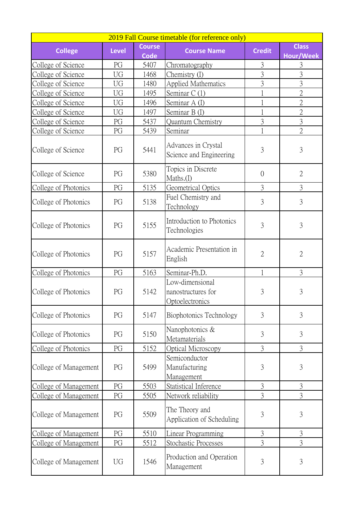|                       |              |                              | 2019 Fall Course timetable (for reference only)          |                |                                  |
|-----------------------|--------------|------------------------------|----------------------------------------------------------|----------------|----------------------------------|
| <b>College</b>        | <b>Level</b> | <b>Course</b><br><b>Code</b> | <b>Course Name</b>                                       | <b>Credit</b>  | <b>Class</b><br><b>Hour/Week</b> |
| College of Science    | PG           | 5407                         | Chromatography                                           | 3              | 3                                |
| College of Science    | UG           | 1468                         | Chemistry (I)                                            | $\overline{3}$ | 3                                |
| College of Science    | UG           | 1480                         | <b>Applied Mathematics</b>                               | 3              | $\overline{3}$                   |
| College of Science    | UG           | 1495                         | Seminar C(1)                                             |                | $\overline{2}$                   |
| College of Science    | UG           | 1496                         | Seminar A (I)                                            |                | $\overline{2}$                   |
| College of Science    | UG           | 1497                         | Seminar B (I)                                            |                | $\overline{2}$                   |
| College of Science    | PG           | 5437                         | <b>Quantum Chemistry</b>                                 | $\overline{3}$ | $\overline{3}$                   |
| College of Science    | PG           | 5439                         | Seminar                                                  |                | $\overline{2}$                   |
| College of Science    | PG           | 5441                         | Advances in Crystal<br>Science and Engineering           | 3              | 3                                |
| College of Science    | PG           | 5380                         | Topics in Discrete<br>Maths.(I)                          | $\overline{0}$ | $\overline{2}$                   |
| College of Photonics  | PG           | 5135                         | Geometrical Optics                                       | 3              | $\overline{3}$                   |
| College of Photonics  | PG           | 5138                         | Fuel Chemistry and<br>Technology                         | $\overline{3}$ | 3                                |
| College of Photonics  | PG           | 5155                         | Introduction to Photonics<br>Technologies                | $\overline{3}$ | 3                                |
| College of Photonics  | PG           | 5157                         | Academic Presentation in<br>English                      | $\overline{2}$ | $\overline{2}$                   |
| College of Photonics  | PG           | 5163                         | Seminar-Ph.D.                                            | 1              | 3                                |
| College of Photonics  | PG           | 5142                         | Low-dimensional<br>nanostructures for<br>Optoelectronics | 3              | 3                                |
| College of Photonics  | PG           | 5147                         | Biophotonics Technology                                  | 3              | 3                                |
| College of Photonics  | PG           | 5150                         | Nanophotonics &<br>Metamaterials                         | 3              | 3                                |
| College of Photonics  | PG           | 5152                         | Optical Microscopy                                       | $\overline{3}$ | $\mathfrak{Z}$                   |
| College of Management | PG           | 5499                         | Semiconductor<br>Manufacturing<br>Management             | 3              | 3                                |
| College of Management | PG           | 5503                         | Statistical Inference                                    | 3              | 3                                |
| College of Management | PG           | 5505                         | Network reliability                                      | $\overline{3}$ | $\overline{3}$                   |
| College of Management | PG           | 5509                         | The Theory and<br>Application of Scheduling              | 3              | 3                                |
| College of Management | PG           | 5510                         | Linear Programming                                       | 3              | 3                                |
| College of Management | PG           | 5512                         | Stochastic Processes                                     | $\overline{3}$ | $\overline{3}$                   |
| College of Management | UG           | 1546                         | Production and Operation<br>Management                   | 3              | 3                                |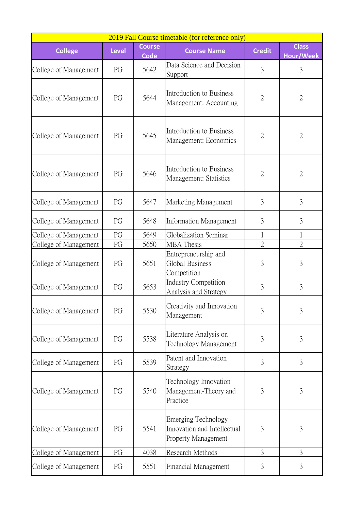| 2019 Fall Course timetable (for reference only) |              |                              |                                                                                         |                |                           |  |  |
|-------------------------------------------------|--------------|------------------------------|-----------------------------------------------------------------------------------------|----------------|---------------------------|--|--|
| <b>College</b>                                  | <b>Level</b> | <b>Course</b><br><b>Code</b> | <b>Course Name</b>                                                                      | <b>Credit</b>  | <b>Class</b><br>Hour/Week |  |  |
| College of Management                           | PG           | 5642                         | Data Science and Decision<br>Support                                                    | 3              | 3                         |  |  |
| College of Management                           | PG           | 5644                         | Introduction to Business<br>Management: Accounting                                      | $\overline{2}$ | $\overline{2}$            |  |  |
| College of Management                           | PG           | 5645                         | Introduction to Business<br>Management: Economics                                       | $\overline{2}$ | $\overline{2}$            |  |  |
| College of Management                           | PG           | 5646                         | Introduction to Business<br>Management: Statistics                                      | $\overline{2}$ | $\overline{2}$            |  |  |
| College of Management                           | PG           | 5647                         | Marketing Management                                                                    | 3              | 3                         |  |  |
| College of Management                           | PG           | 5648                         | <b>Information Management</b>                                                           | 3              | 3                         |  |  |
| College of Management                           | PG           | 5649                         | Globalization Seminar                                                                   |                |                           |  |  |
| College of Management                           | PG           | 5650                         | MBA Thesis                                                                              | $\overline{2}$ | $\overline{2}$            |  |  |
| College of Management                           | PG           | 5651                         | Entrepreneurship and<br>Global Business<br>Competition                                  | 3              | 3                         |  |  |
| College of Management                           | PG           | 5653                         | <b>Industry Competition</b><br>Analysis and Strategy                                    | 3              | 3                         |  |  |
| College of Management                           | PG           | 5530                         | Creativity and Innovation<br>Management                                                 | $\overline{3}$ | $\overline{3}$            |  |  |
| College of Management                           | PG           | 5538                         | Literature Analysis on<br>Technology Management                                         | 3              | 3                         |  |  |
| College of Management                           | PG           | 5539                         | Patent and Innovation<br>Strategy                                                       | 3              | 3                         |  |  |
| College of Management                           | PG           | 5540                         | Technology Innovation<br>Management-Theory and<br>Practice                              | 3              | 3                         |  |  |
| College of Management                           | PG           | 5541                         | <b>Emerging Technology</b><br>Innovation and Intellectual<br><b>Property Management</b> | 3              | 3                         |  |  |
| College of Management                           | PG           | 4038                         | Research Methods                                                                        | $\overline{3}$ | 3                         |  |  |
| College of Management                           | PG           | 5551                         | Financial Management                                                                    | $\mathfrak{Z}$ | $\mathfrak{Z}$            |  |  |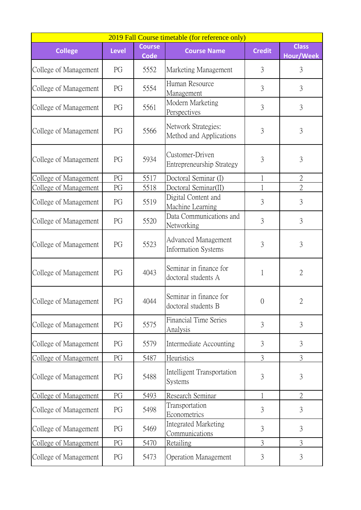| 2019 Fall Course timetable (for reference only) |              |                              |                                                          |                |                           |  |  |
|-------------------------------------------------|--------------|------------------------------|----------------------------------------------------------|----------------|---------------------------|--|--|
| <b>College</b>                                  | <b>Level</b> | <b>Course</b><br><b>Code</b> | <b>Course Name</b>                                       | <b>Credit</b>  | <b>Class</b><br>Hour/Week |  |  |
| College of Management                           | PG           | 5552                         | Marketing Management                                     | 3              | 3                         |  |  |
| College of Management                           | PG           | 5554                         | Human Resource<br>Management                             | 3              | 3                         |  |  |
| College of Management                           | PG           | 5561                         | Modern Marketing<br>Perspectives                         | $\overline{3}$ | $\mathfrak{Z}$            |  |  |
| College of Management                           | PG           | 5566                         | Network Strategies:<br>Method and Applications           | 3              | 3                         |  |  |
| College of Management                           | PG           | 5934                         | Customer-Driven<br>Entrepreneurship Strategy             | 3              | 3                         |  |  |
| College of Management                           | PG           | 5517                         | Doctoral Seminar (I)                                     | 1              | $\overline{2}$            |  |  |
| College of Management                           | PG           | 5518                         | Doctoral Seminar(II)                                     |                | $\overline{2}$            |  |  |
| College of Management                           | PG           | 5519                         | Digital Content and<br>Machine Learning                  | 3              | 3                         |  |  |
| College of Management                           | PG           | 5520                         | Data Communications and<br>Networking                    | $\overline{3}$ | 3                         |  |  |
| College of Management                           | PG           | 5523                         | <b>Advanced Management</b><br><b>Information Systems</b> | 3              | 3                         |  |  |
| College of Management                           | PG           | 4043                         | Seminar in finance for<br>doctoral students A            |                | $\overline{2}$            |  |  |
| College of Management                           | PG           | 4044                         | Seminar in finance for<br>doctoral students B            | $\theta$       | 2                         |  |  |
| College of Management                           | PG           | 5575                         | <b>Financial Time Series</b><br>Analysis                 | 3              | 3                         |  |  |
| College of Management                           | PG           | 5579                         | Intermediate Accounting                                  | 3              | 3                         |  |  |
| College of Management                           | PG           | 5487                         | Heuristics                                               | 3              | 3                         |  |  |
| College of Management                           | PG           | 5488                         | Intelligent Transportation<br><b>Systems</b>             | 3              | 3                         |  |  |
| College of Management                           | PG           | 5493                         | Research Seminar                                         |                | $\overline{2}$            |  |  |
| College of Management                           | PG           | 5498                         | Transportation<br>Econometrics                           | 3              | 3                         |  |  |
| College of Management                           | PG           | 5469                         | Integrated Marketing<br>Communications                   | 3              | 3                         |  |  |
| College of Management                           | PG           | 5470                         | Retailing                                                | 3              | 3                         |  |  |
| College of Management                           | PG           | 5473                         | <b>Operation Management</b>                              | 3              | 3                         |  |  |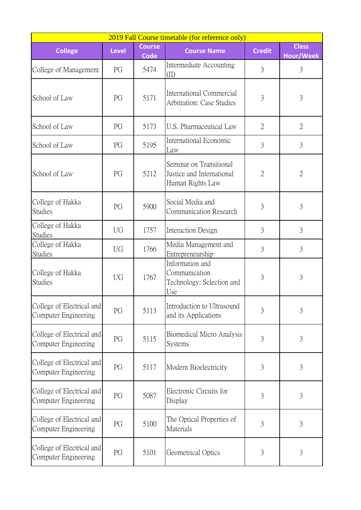|                                                   | 2019 Fall Course timetable (for reference only) |                              |                                                                          |                |                           |  |  |  |
|---------------------------------------------------|-------------------------------------------------|------------------------------|--------------------------------------------------------------------------|----------------|---------------------------|--|--|--|
| <b>College</b>                                    | <b>Level</b>                                    | <b>Course</b><br><b>Code</b> | <b>Course Name</b>                                                       | <b>Credit</b>  | <b>Class</b><br>Hour/Week |  |  |  |
| College of Management                             | PG                                              | 5474                         | Intermediate Accounting<br>(II)                                          | 3              | 3                         |  |  |  |
| School of Law                                     | PG                                              | 5171                         | International Commercial<br><b>Arbitration: Case Studies</b>             | 3              | 3                         |  |  |  |
| School of Law                                     | PG                                              | 5173                         | U.S. Pharmaceutical Law                                                  | $\overline{2}$ | $\overline{2}$            |  |  |  |
| School of Law                                     | PG                                              | 5195                         | International Economic<br>Law                                            | $\overline{3}$ | 3                         |  |  |  |
| School of Law                                     | PG                                              | 5212                         | Seminar on Transitional<br>Justice and International<br>Human Rights Law | $\overline{2}$ | $\overline{2}$            |  |  |  |
| College of Hakka<br><b>Studies</b>                | PG                                              | 5900                         | Social Media and<br>Communication Research                               | 3              | 3                         |  |  |  |
| College of Hakka<br><b>Studies</b>                | UG                                              | 1757                         | Interaction Design                                                       | 3              | 3                         |  |  |  |
| College of Hakka<br><b>Studies</b>                | <b>UG</b>                                       | 1766                         | Media Management and<br>Entrepreneurship                                 | 3              | 3                         |  |  |  |
| College of Hakka<br><b>Studies</b>                | UG                                              | 1767                         | Information and<br>Communication<br>Technology: Selection and<br>Use     | 3              | 3                         |  |  |  |
| College of Electrical and<br>Computer Engineering | PG                                              | 5113                         | Introduction to Ultrasound<br>and its Applications                       | $\overline{3}$ | $\overline{3}$            |  |  |  |
| College of Electrical and<br>Computer Engineering | PG                                              | 5115                         | Biomedical Micro Analysis<br><b>Systems</b>                              | 3              | 3                         |  |  |  |
| College of Electrical and<br>Computer Engineering | PG                                              | 5117                         | Modern Bioelectricity                                                    | $\mathfrak{Z}$ | 3                         |  |  |  |
| College of Electrical and<br>Computer Engineering | PG                                              | 5087                         | Electronic Circuits for<br>Display                                       | 3              | $\mathfrak{Z}$            |  |  |  |
| College of Electrical and<br>Computer Engineering | PG                                              | 5100                         | The Optical Properties of<br>Materials                                   | $\overline{3}$ | 3                         |  |  |  |
| College of Electrical and<br>Computer Engineering | PG                                              | 5101                         | Geometrical Optics                                                       | $\mathfrak{Z}$ | $\mathfrak{Z}$            |  |  |  |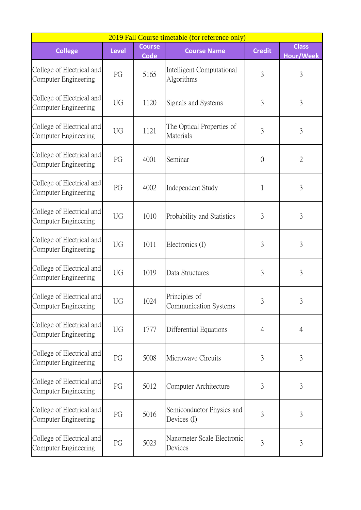| 2019 Fall Course timetable (for reference only)   |              |                              |                                          |                |                           |  |  |
|---------------------------------------------------|--------------|------------------------------|------------------------------------------|----------------|---------------------------|--|--|
| <b>College</b>                                    | <b>Level</b> | <b>Course</b><br><b>Code</b> | <b>Course Name</b>                       | <b>Credit</b>  | <b>Class</b><br>Hour/Week |  |  |
| College of Electrical and<br>Computer Engineering | PG           | 5165                         | Intelligent Computational<br>Algorithms  | 3              | 3                         |  |  |
| College of Electrical and<br>Computer Engineering | UG           | 1120                         | Signals and Systems                      | 3              | 3                         |  |  |
| College of Electrical and<br>Computer Engineering | UG           | 1121                         | The Optical Properties of<br>Materials   | 3              | 3                         |  |  |
| College of Electrical and<br>Computer Engineering | PG           | 4001                         | Seminar                                  | $\overline{0}$ | $\overline{2}$            |  |  |
| College of Electrical and<br>Computer Engineering | PG           | 4002                         | Independent Study                        | 1              | 3                         |  |  |
| College of Electrical and<br>Computer Engineering | UG           | 1010                         | Probability and Statistics               | 3              | 3                         |  |  |
| College of Electrical and<br>Computer Engineering | UG           | 1011                         | Electronics (I)                          | 3              | 3                         |  |  |
| College of Electrical and<br>Computer Engineering | UG           | 1019                         | Data Structures                          | 3              | 3                         |  |  |
| College of Electrical and<br>Computer Engineering | UG           | 1024                         | Principles of<br>Communication Systems   | 3              | 3                         |  |  |
| College of Electrical and<br>Computer Engineering | UG           | 1777                         | Differential Equations                   | $\overline{4}$ | $\overline{4}$            |  |  |
| College of Electrical and<br>Computer Engineering | PG           | 5008                         | Microwave Circuits                       | 3              | 3                         |  |  |
| College of Electrical and<br>Computer Engineering | PG           | 5012                         | Computer Architecture                    | 3              | 3                         |  |  |
| College of Electrical and<br>Computer Engineering | PG           | 5016                         | Semiconductor Physics and<br>Devices (I) | 3              | 3                         |  |  |
| College of Electrical and<br>Computer Engineering | PG           | 5023                         | Nanometer Scale Electronic<br>Devices    | 3              | 3                         |  |  |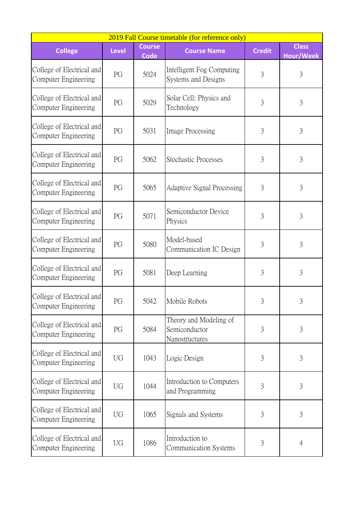| 2019 Fall Course timetable (for reference only)   |              |                              |                                                           |               |                                  |  |  |
|---------------------------------------------------|--------------|------------------------------|-----------------------------------------------------------|---------------|----------------------------------|--|--|
| <b>College</b>                                    | <b>Level</b> | <b>Course</b><br><b>Code</b> | <b>Course Name</b>                                        | <b>Credit</b> | <b>Class</b><br><b>Hour/Week</b> |  |  |
| College of Electrical and<br>Computer Engineering | PG           | 5024                         | Intelligent Fog Computing<br>Systems and Designs          | 3             | 3                                |  |  |
| College of Electrical and<br>Computer Engineering | PG           | 5029                         | Solar Cell: Physics and<br>Technology                     | 3             | 3                                |  |  |
| College of Electrical and<br>Computer Engineering | PG           | 5031                         | Image Processing                                          | 3             | 3                                |  |  |
| College of Electrical and<br>Computer Engineering | PG           | 5062                         | <b>Stochastic Processes</b>                               | 3             | 3                                |  |  |
| College of Electrical and<br>Computer Engineering | PG           | 5065                         | Adaptive Signal Processing                                | 3             | 3                                |  |  |
| College of Electrical and<br>Computer Engineering | PG           | 5071                         | Semiconductor Device<br>Physics                           | 3             | 3                                |  |  |
| College of Electrical and<br>Computer Engineering | PG           | 5080                         | Model-based<br>Communication IC Design                    | 3             | 3                                |  |  |
| College of Electrical and<br>Computer Engineering | PG           | 5081                         | Deep Learning                                             | 3             | 3                                |  |  |
| College of Electrical and<br>Computer Engineering | PG           | 5042                         | Mobile Robots                                             | 3             |                                  |  |  |
| College of Electrical and<br>Computer Engineering | PG           | 5084                         | Theory and Modeling of<br>Semiconductor<br>Nanostructures | 3             | 3                                |  |  |
| College of Electrical and<br>Computer Engineering | UG           | 1043                         | Logic Design                                              | 3             | $\mathfrak{Z}$                   |  |  |
| College of Electrical and<br>Computer Engineering | UG           | 1044                         | Introduction to Computers<br>and Programming              | 3             | $\mathfrak{Z}$                   |  |  |
| College of Electrical and<br>Computer Engineering | UG           | 1065                         | Signals and Systems                                       | 3             | 3                                |  |  |
| College of Electrical and<br>Computer Engineering | <b>UG</b>    | 1086                         | Introduction to<br>Communication Systems                  | 3             | $\overline{4}$                   |  |  |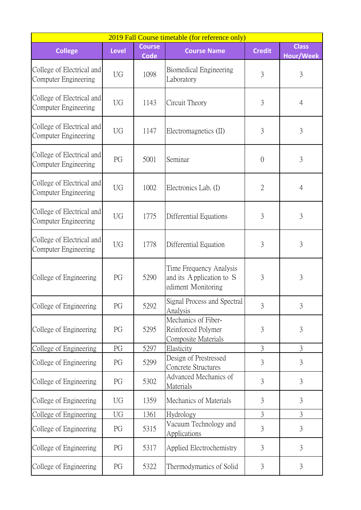| 2019 Fall Course timetable (for reference only)   |              |                              |                                                                           |                |                           |  |  |
|---------------------------------------------------|--------------|------------------------------|---------------------------------------------------------------------------|----------------|---------------------------|--|--|
| <b>College</b>                                    | <b>Level</b> | <b>Course</b><br><b>Code</b> | <b>Course Name</b>                                                        | <b>Credit</b>  | <b>Class</b><br>Hour/Week |  |  |
| College of Electrical and<br>Computer Engineering | <b>UG</b>    | 1098                         | Biomedical Engineering<br>Laboratory                                      | $\overline{3}$ | $\mathfrak{Z}$            |  |  |
| College of Electrical and<br>Computer Engineering | UG           | 1143                         | Circuit Theory                                                            | 3              | $\overline{4}$            |  |  |
| College of Electrical and<br>Computer Engineering | UG           | 1147                         | Electromagnetics (II)                                                     | 3              | 3                         |  |  |
| College of Electrical and<br>Computer Engineering | PG           | 5001                         | Seminar                                                                   | $\overline{0}$ | 3                         |  |  |
| College of Electrical and<br>Computer Engineering | UG           | 1002                         | Electronics Lab. (I)                                                      | $\overline{2}$ | $\overline{4}$            |  |  |
| College of Electrical and<br>Computer Engineering | <b>UG</b>    | 1775                         | Differential Equations                                                    | 3              | 3                         |  |  |
| College of Electrical and<br>Computer Engineering | UG           | 1778                         | Differential Equation                                                     | 3              | 3                         |  |  |
| College of Engineering                            | PG           | 5290                         | Time Frequency Analysis<br>and its Application to S<br>ediment Monitoring | 3              | 3                         |  |  |
| College of Engineering                            | PG           | 5292                         | Signal Process and Spectral<br>Analysis                                   | 3              | 3                         |  |  |
| College of Engineering                            | PG           | 5295                         | Mechanics of Fiber-<br>Reinforced Polymer<br>Composite Materials          | $\overline{3}$ | 3                         |  |  |
| College of Engineering                            | PG           | 5297                         | Elasticity                                                                | 3              | $\mathfrak{Z}$            |  |  |
| College of Engineering                            | PG           | 5299                         | Design of Prestressed<br>Concrete Structures                              | 3              | 3                         |  |  |
| College of Engineering                            | PG           | 5302                         | Advanced Mechanics of<br>Materials                                        | 3              | 3                         |  |  |
| College of Engineering                            | UG           | 1359                         | Mechanics of Materials                                                    | 3              | 3                         |  |  |
| College of Engineering                            | UG           | 1361                         | Hydrology                                                                 | $\mathfrak{Z}$ | $\mathfrak{Z}$            |  |  |
| College of Engineering                            | PG           | 5315                         | Vacuum Technology and<br><b>Applications</b>                              | $\overline{3}$ | 3                         |  |  |
| College of Engineering                            | PG           | 5317                         | Applied Electrochemistry                                                  | 3              | 3                         |  |  |
| College of Engineering                            | PG           | 5322                         | Thermodymanics of Solid                                                   | 3              | 3                         |  |  |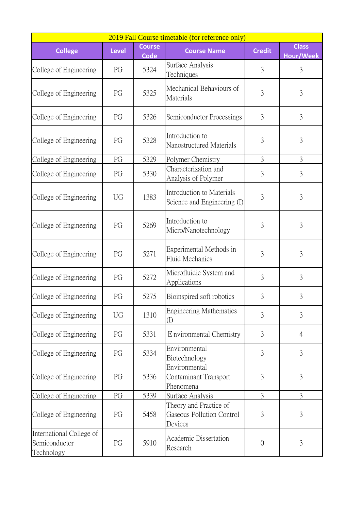| 2019 Fall Course timetable (for reference only)         |              |                              |                                                                |                |                                  |  |  |
|---------------------------------------------------------|--------------|------------------------------|----------------------------------------------------------------|----------------|----------------------------------|--|--|
| <b>College</b>                                          | <b>Level</b> | <b>Course</b><br><b>Code</b> | <b>Course Name</b>                                             | <b>Credit</b>  | <b>Class</b><br><b>Hour/Week</b> |  |  |
| College of Engineering                                  | PG           | 5324                         | Surface Analysis<br><b>Techniques</b>                          | 3              | 3                                |  |  |
| College of Engineering                                  | PG           | 5325                         | Mechanical Behaviours of<br>Materials                          | 3              | 3                                |  |  |
| College of Engineering                                  | PG           | 5326                         | Semiconductor Processings                                      | 3              | 3                                |  |  |
| College of Engineering                                  | PG           | 5328                         | Introduction to<br>Nanostructured Materials                    | 3              | 3                                |  |  |
| College of Engineering                                  | PG           | 5329                         | Polymer Chemistry                                              | 3              | 3                                |  |  |
| College of Engineering                                  | PG           | 5330                         | Characterization and<br>Analysis of Polymer                    | 3              | 3                                |  |  |
| College of Engineering                                  | UG           | 1383                         | Introduction to Materials<br>Science and Engineering (I)       | 3              | 3                                |  |  |
| College of Engineering                                  | PG           | 5269                         | Introduction to<br>Micro/Nanotechnology                        | 3              | 3                                |  |  |
| College of Engineering                                  | PG           | 5271                         | Experimental Methods in<br>Fluid Mechanics                     | 3              | $\overline{3}$                   |  |  |
| College of Engineering                                  | PG           | 5272                         | Microfluidic System and<br>Applications                        | 3              | 3                                |  |  |
| College of Engineering                                  | PG           | 5275                         | Bioinspired soft robotics                                      | 3              | 3                                |  |  |
| College of Engineering                                  | UG           | 1310                         | <b>Engineering Mathematics</b><br>$\rm (I)$                    | 3              | 3                                |  |  |
| College of Engineering                                  | PG           | 5331                         | E nvironmental Chemistry                                       | 3              | $\overline{4}$                   |  |  |
| College of Engineering                                  | PG           | 5334                         | Environmental<br>Biotechnology                                 | 3              | 3                                |  |  |
| College of Engineering                                  | PG           | 5336                         | Environmental<br>Contaminant Transport<br>Phenomena            | 3              | 3                                |  |  |
| College of Engineering                                  | PG           | 5339                         | Surface Analysis                                               | $\overline{3}$ | $\overline{3}$                   |  |  |
| College of Engineering                                  | PG           | 5458                         | Theory and Practice of<br>Gaseous Pollution Control<br>Devices | 3              | 3                                |  |  |
| International College of<br>Semiconductor<br>Technology | PG           | 5910                         | Academic Dissertation<br>Research                              | $\overline{0}$ | 3                                |  |  |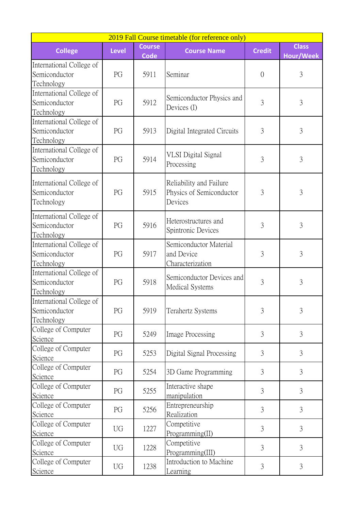| 2019 Fall Course timetable (for reference only)         |              |                              |                                                                |                |                           |  |  |
|---------------------------------------------------------|--------------|------------------------------|----------------------------------------------------------------|----------------|---------------------------|--|--|
| <b>College</b>                                          | <b>Level</b> | <b>Course</b><br><b>Code</b> | <b>Course Name</b>                                             | <b>Credit</b>  | <b>Class</b><br>Hour/Week |  |  |
| International College of<br>Semiconductor<br>Technology | PG           | 5911                         | Seminar                                                        | $\overline{0}$ | 3                         |  |  |
| International College of<br>Semiconductor<br>Technology | PG           | 5912                         | Semiconductor Physics and<br>Devices (I)                       | 3              | 3                         |  |  |
| International College of<br>Semiconductor<br>Technology | PG           | 5913                         | Digital Integrated Circuits                                    | 3              | 3                         |  |  |
| International College of<br>Semiconductor<br>Technology | PG           | 5914                         | <b>VLSI</b> Digital Signal<br>Processing                       | 3              | $\overline{3}$            |  |  |
| International College of<br>Semiconductor<br>Technology | PG           | 5915                         | Reliability and Failure<br>Physics of Semiconductor<br>Devices | 3              | 3                         |  |  |
| International College of<br>Semiconductor<br>Technology | PG           | 5916                         | Heterostructures and<br>Spintronic Devices                     | $\overline{3}$ | 3                         |  |  |
| International College of<br>Semiconductor<br>Technology | PG           | 5917                         | Semiconductor Material<br>and Device<br>Characterization       | $\overline{3}$ | $\overline{3}$            |  |  |
| International College of<br>Semiconductor<br>Technology | PG           | 5918                         | Semiconductor Devices and<br><b>Medical Systems</b>            | $\overline{3}$ | $\overline{3}$            |  |  |
| International College of<br>Semiconductor<br>Technology | PG           | 5919                         | Terahertz Systems                                              | 3              | 3                         |  |  |
| College of Computer<br>Science                          | PG           | 5249                         | Image Processing                                               | 3              | 3                         |  |  |
| College of Computer<br>Science                          | PG           | 5253                         | Digital Signal Processing                                      | 3              | 3                         |  |  |
| College of Computer<br>Science                          | PG           | 5254                         | 3D Game Programming                                            | 3              | 3                         |  |  |
| College of Computer<br>Science                          | PG           | 5255                         | Interactive shape<br>manipulation                              | 3              | 3                         |  |  |
| College of Computer<br>Science                          | PG           | 5256                         | Entrepreneurship<br>Realization                                | 3              | 3                         |  |  |
| College of Computer<br>Science                          | UG           | 1227                         | Competitive<br>Programming(II)                                 | 3              | 3                         |  |  |
| College of Computer<br>Science                          | UG           | 1228                         | Competitive<br>Programming(III)                                | 3              | 3                         |  |  |
| College of Computer<br>Science                          | UG           | 1238                         | Introduction to Machine<br>Learning                            | 3              | 3                         |  |  |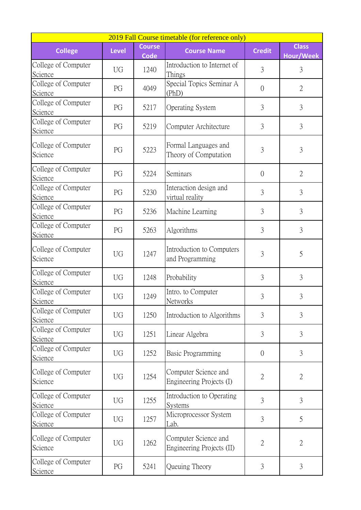| 2019 Fall Course timetable (for reference only) |              |                              |                                                   |                |                                  |  |  |
|-------------------------------------------------|--------------|------------------------------|---------------------------------------------------|----------------|----------------------------------|--|--|
| <b>College</b>                                  | <b>Level</b> | <b>Course</b><br><b>Code</b> | <b>Course Name</b>                                | <b>Credit</b>  | <b>Class</b><br><b>Hour/Week</b> |  |  |
| College of Computer<br>Science                  | UG           | 1240                         | Introduction to Internet of<br>Things             | $\overline{3}$ | 3                                |  |  |
| College of Computer<br>Science                  | PG           | 4049                         | Special Topics Seminar A<br>(PhD)                 | $\overline{0}$ | $\overline{2}$                   |  |  |
| College of Computer<br>Science                  | PG           | 5217                         | <b>Operating System</b>                           | 3              | $\overline{3}$                   |  |  |
| College of Computer<br>Science                  | PG           | 5219                         | Computer Architecture                             | $\overline{3}$ | 3                                |  |  |
| College of Computer<br>Science                  | PG           | 5223                         | Formal Languages and<br>Theory of Computation     | 3              | 3                                |  |  |
| College of Computer<br>Science                  | PG           | 5224                         | Seminars                                          | $\overline{0}$ | $\overline{2}$                   |  |  |
| College of Computer<br>Science                  | PG           | 5230                         | Interaction design and<br>virtual reality         | $\overline{3}$ | $\mathfrak{Z}$                   |  |  |
| College of Computer<br>Science                  | PG           | 5236                         | Machine Learning                                  | 3              | 3                                |  |  |
| College of Computer<br>Science                  | PG           | 5263                         | Algorithms                                        | 3              | 3                                |  |  |
| College of Computer<br>Science                  | UG           | 1247                         | Introduction to Computers<br>and Programming      | 3              | 5                                |  |  |
| College of Computer<br>Science                  | <b>UG</b>    | 1248                         | Probability                                       | $\mathfrak{Z}$ | 3                                |  |  |
| College of Computer<br>Science                  | UG           | 1249                         | Intro. to Computer<br><b>Networks</b>             | 3              | 3                                |  |  |
| College of Computer<br>Science                  | UG           | 1250                         | Introduction to Algorithms                        | 3              | 3                                |  |  |
| College of Computer<br>Science                  | UG           | 1251                         | Linear Algebra                                    | $\overline{3}$ | 3                                |  |  |
| College of Computer<br>Science                  | UG           | 1252                         | Basic Programming                                 | $\overline{0}$ | 3                                |  |  |
| College of Computer<br>Science                  | <b>UG</b>    | 1254                         | Computer Science and<br>Engineering Projects (I)  | $\overline{2}$ | $\overline{2}$                   |  |  |
| College of Computer<br>Science                  | <b>UG</b>    | 1255                         | Introduction to Operating<br>Systems              | 3              | 3                                |  |  |
| College of Computer<br>Science                  | UG           | 1257                         | Microprocessor System<br>Lab.                     | 3              | 5                                |  |  |
| College of Computer<br>Science                  | UG           | 1262                         | Computer Science and<br>Engineering Projects (II) | $\overline{2}$ | $\overline{2}$                   |  |  |
| College of Computer<br>Science                  | PG           | 5241                         | Queuing Theory                                    | 3              | 3                                |  |  |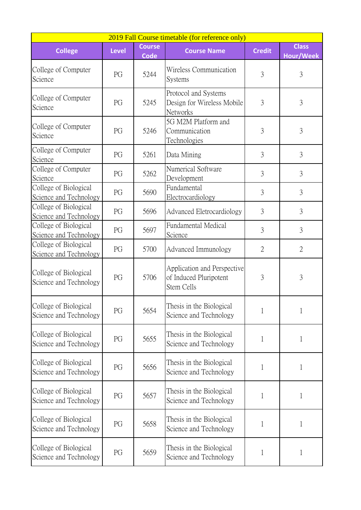| 2019 Fall Course timetable (for reference only) |              |                              |                                                                            |                |                           |  |  |
|-------------------------------------------------|--------------|------------------------------|----------------------------------------------------------------------------|----------------|---------------------------|--|--|
| <b>College</b>                                  | <b>Level</b> | <b>Course</b><br><b>Code</b> | <b>Course Name</b>                                                         | <b>Credit</b>  | <b>Class</b><br>Hour/Week |  |  |
| College of Computer<br>Science                  | PG           | 5244                         | Wireless Communication<br><b>Systems</b>                                   | 3              | 3                         |  |  |
| College of Computer<br>Science                  | PG           | 5245                         | Protocol and Systems<br>Design for Wireless Mobile<br>Networks             | 3              | 3                         |  |  |
| College of Computer<br>Science                  | PG           | 5246                         | 5G M2M Platform and<br>Communication<br>Technologies                       | 3              | 3                         |  |  |
| College of Computer<br>Science                  | PG           | 5261                         | Data Mining                                                                | 3              | 3                         |  |  |
| College of Computer<br>Science                  | PG           | 5262                         | Numerical Software<br>Development                                          | 3              | 3                         |  |  |
| College of Biological<br>Science and Technology | PG           | 5690                         | Fundamental<br>Electrocardiology                                           | $\overline{3}$ | 3                         |  |  |
| College of Biological<br>Science and Technology | PG           | 5696                         | Advanced Eletrocardiology                                                  | 3              | 3                         |  |  |
| College of Biological<br>Science and Technology | PG           | 5697                         | Fundamental Medical<br>Science                                             | 3              | 3                         |  |  |
| College of Biological<br>Science and Technology | PG           | 5700                         | Advanced Immunology                                                        | $\overline{2}$ | $\overline{2}$            |  |  |
| College of Biological<br>Science and Technology | PG           | 5706                         | <b>Application and Perspective</b><br>of Induced Pluripotent<br>Stem Cells | 3              | 3                         |  |  |
| College of Biological<br>Science and Technology | PG           | 5654                         | Thesis in the Biological<br>Science and Technology                         | 1              | 1                         |  |  |
| College of Biological<br>Science and Technology | PG           | 5655                         | Thesis in the Biological<br>Science and Technology                         | $\mathbf{1}$   | $\mathbf{1}$              |  |  |
| College of Biological<br>Science and Technology | PG           | 5656                         | Thesis in the Biological<br>Science and Technology                         | 1              | 1                         |  |  |
| College of Biological<br>Science and Technology | PG           | 5657                         | Thesis in the Biological<br>Science and Technology                         | 1              | $\mathbf{1}$              |  |  |
| College of Biological<br>Science and Technology | PG           | 5658                         | Thesis in the Biological<br>Science and Technology                         | 1              | 1                         |  |  |
| College of Biological<br>Science and Technology | PG           | 5659                         | Thesis in the Biological<br>Science and Technology                         | 1              | 1                         |  |  |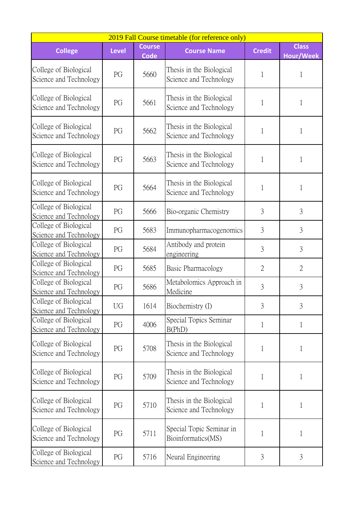| 2019 Fall Course timetable (for reference only) |              |                              |                                                    |                |                                  |  |  |
|-------------------------------------------------|--------------|------------------------------|----------------------------------------------------|----------------|----------------------------------|--|--|
| <b>College</b>                                  | <b>Level</b> | <b>Course</b><br><b>Code</b> | <b>Course Name</b>                                 | <b>Credit</b>  | <b>Class</b><br><b>Hour/Week</b> |  |  |
| College of Biological<br>Science and Technology | PG           | 5660                         | Thesis in the Biological<br>Science and Technology |                | 1                                |  |  |
| College of Biological<br>Science and Technology | PG           | 5661                         | Thesis in the Biological<br>Science and Technology | 1              | 1                                |  |  |
| College of Biological<br>Science and Technology | PG           | 5662                         | Thesis in the Biological<br>Science and Technology | 1              | 1                                |  |  |
| College of Biological<br>Science and Technology | PG           | 5663                         | Thesis in the Biological<br>Science and Technology | 1              | 1                                |  |  |
| College of Biological<br>Science and Technology | PG           | 5664                         | Thesis in the Biological<br>Science and Technology | 1              | 1                                |  |  |
| College of Biological<br>Science and Technology | PG           | 5666                         | Bio-organic Chemistry                              | 3              | 3                                |  |  |
| College of Biological<br>Science and Technology | PG           | 5683                         | Immunopharmacogenomics                             | 3              | 3                                |  |  |
| College of Biological<br>Science and Technology | PG           | 5684                         | Antibody and protein<br>engineering                | $\overline{3}$ | 3                                |  |  |
| College of Biological<br>Science and Technology | PG           | 5685                         | Basic Pharmacology                                 | $\overline{2}$ | $\overline{2}$                   |  |  |
| College of Biological<br>Science and Technology | PG           | 5686                         | Metabolomics Approach in<br>Medicine               | 3              | 3                                |  |  |
| College of Biological<br>Science and Technology | <b>UG</b>    | 1614                         | Biochemistry (I)                                   | 3              | 3                                |  |  |
| College of Biological<br>Science and Technology | PG           | 4006                         | Special Topics Seminar<br>B(PhD)                   | 1              | 1                                |  |  |
| College of Biological<br>Science and Technology | PG           | 5708                         | Thesis in the Biological<br>Science and Technology | 1              | 1                                |  |  |
| College of Biological<br>Science and Technology | PG           | 5709                         | Thesis in the Biological<br>Science and Technology | 1              | 1                                |  |  |
| College of Biological<br>Science and Technology | PG           | 5710                         | Thesis in the Biological<br>Science and Technology | 1              | 1                                |  |  |
| College of Biological<br>Science and Technology | PG           | 5711                         | Special Topic Seminar in<br>Bioinformatics(MS)     | 1              | 1                                |  |  |
| College of Biological<br>Science and Technology | PG           | 5716                         | Neural Engineering                                 | 3              | 3                                |  |  |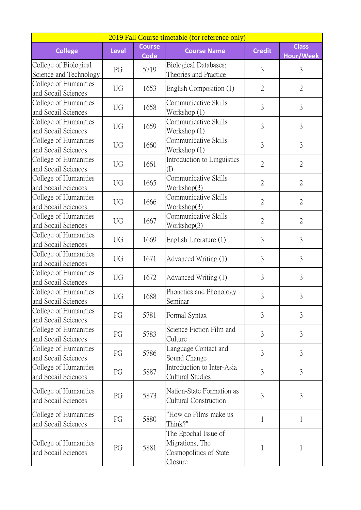| 2019 Fall Course timetable (for reference only) |              |                              |                                                                                     |                |                           |  |  |
|-------------------------------------------------|--------------|------------------------------|-------------------------------------------------------------------------------------|----------------|---------------------------|--|--|
| <b>College</b>                                  | <b>Level</b> | <b>Course</b><br><b>Code</b> | <b>Course Name</b>                                                                  | <b>Credit</b>  | <b>Class</b><br>Hour/Week |  |  |
| College of Biological<br>Science and Technology | PG           | 5719                         | <b>Biological Databases:</b><br>Theories and Practice                               | $\overline{3}$ | $\mathfrak{Z}$            |  |  |
| College of Humanities<br>and Socail Sciences    | UG           | 1653                         | English Composition (1)                                                             | $\overline{2}$ | $\overline{2}$            |  |  |
| College of Humanities<br>and Socail Sciences    | <b>UG</b>    | 1658                         | Communicative Skills<br>Workshop (1)                                                | $\overline{3}$ | $\overline{3}$            |  |  |
| College of Humanities<br>and Socail Sciences    | <b>UG</b>    | 1659                         | Communicative Skills<br>Workshop (1)                                                | $\overline{3}$ | $\overline{3}$            |  |  |
| College of Humanities<br>and Socail Sciences    | UG           | 1660                         | Communicative Skills<br>Workshop (1)                                                | $\overline{3}$ | $\overline{3}$            |  |  |
| College of Humanities<br>and Socail Sciences    | <b>UG</b>    | 1661                         | Introduction to Linguistics<br>(1)                                                  | $\overline{2}$ | $\mathfrak{2}$            |  |  |
| College of Humanities<br>and Socail Sciences    | <b>UG</b>    | 1665                         | Communicative Skills<br>Workshop(3)                                                 | $\overline{2}$ | $\overline{2}$            |  |  |
| College of Humanities<br>and Socail Sciences    | UG           | 1666                         | Communicative Skills<br>Workshop(3)                                                 | $\overline{2}$ | $\overline{2}$            |  |  |
| College of Humanities<br>and Socail Sciences    | <b>UG</b>    | 1667                         | Communicative Skills<br>Workshop(3)                                                 | $\overline{2}$ | $\overline{2}$            |  |  |
| College of Humanities<br>and Socail Sciences    | UG           | 1669                         | English Literature (1)                                                              | $\overline{3}$ | $\overline{3}$            |  |  |
| College of Humanities<br>and Socail Sciences    | UG           | 1671                         | Advanced Writing (1)                                                                | 3              | 3                         |  |  |
| College of Humanities<br>and Socail Sciences    | <b>UG</b>    | 1672                         | Advanced Writing (1)                                                                | $\overline{3}$ | 3                         |  |  |
| College of Humanities<br>and Socail Sciences    | <b>UG</b>    | 1688                         | Phonetics and Phonology<br>Seminar                                                  | $\overline{3}$ | 3                         |  |  |
| College of Humanities<br>and Socail Sciences    | PG           | 5781                         | Formal Syntax                                                                       | 3              | 3                         |  |  |
| College of Humanities<br>and Socail Sciences    | PG           | 5783                         | Science Fiction Film and<br>Culture                                                 | $\overline{3}$ | 3                         |  |  |
| College of Humanities<br>and Socail Sciences    | PG           | 5786                         | Language Contact and<br>Sound Change                                                | 3              | 3                         |  |  |
| College of Humanities<br>and Socail Sciences    | PG           | 5887                         | Introduction to Inter-Asia<br>Cultural Studies                                      | 3              | 3                         |  |  |
| College of Humanities<br>and Socail Sciences    | PG           | 5873                         | Nation-State Formation as<br><b>Cultural Construction</b>                           | $\overline{3}$ | 3                         |  |  |
| College of Humanities<br>and Socail Sciences    | PG           | 5880                         | "How do Films make us<br>Think?"                                                    | $\mathbf{1}$   | $\mathbf{1}$              |  |  |
| College of Humanities<br>and Socail Sciences    | PG           | 5881                         | The Epochal Issue of<br>Migrations, The<br>Cosmopolitics of State<br><u>Closure</u> | 1              | 1                         |  |  |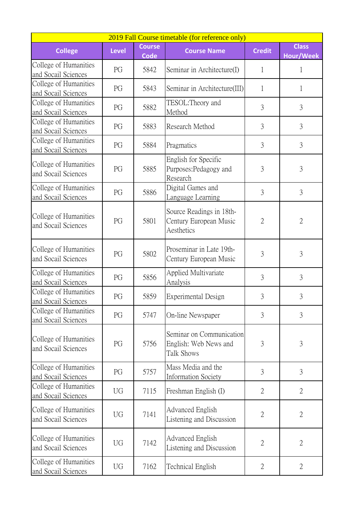| 2019 Fall Course timetable (for reference only) |              |                              |                                                                  |                |                                  |  |  |  |
|-------------------------------------------------|--------------|------------------------------|------------------------------------------------------------------|----------------|----------------------------------|--|--|--|
| <b>College</b>                                  | <b>Level</b> | <b>Course</b><br><b>Code</b> | <b>Course Name</b>                                               | <b>Credit</b>  | <b>Class</b><br><b>Hour/Week</b> |  |  |  |
| College of Humanities<br>and Socail Sciences    | PG           | 5842                         | Seminar in Architecture(I)                                       | 1              | 1                                |  |  |  |
| College of Humanities<br>and Socail Sciences    | PG           | 5843                         | Seminar in Architecture(III)                                     | 1              | 1                                |  |  |  |
| College of Humanities<br>and Socail Sciences    | PG           | 5882                         | TESOL:Theory and<br>Method                                       | $\overline{3}$ | $\overline{3}$                   |  |  |  |
| College of Humanities<br>and Socail Sciences    | PG           | 5883                         | Research Method                                                  | $\overline{3}$ | $\overline{3}$                   |  |  |  |
| College of Humanities<br>and Socail Sciences    | PG           | 5884                         | Pragmatics                                                       | $\overline{3}$ | $\overline{3}$                   |  |  |  |
| College of Humanities<br>and Socail Sciences    | PG           | 5885                         | English for Specific<br>Purposes:Pedagogy and<br>Research        | $\overline{3}$ | $\mathfrak{Z}$                   |  |  |  |
| College of Humanities<br>and Socail Sciences    | PG           | 5886                         | Digital Games and<br>Language Learning                           | $\overline{3}$ | $\overline{3}$                   |  |  |  |
| College of Humanities<br>and Socail Sciences    | PG           | 5801                         | Source Readings in 18th-<br>Century European Music<br>Aesthetics | $\overline{2}$ | $\overline{2}$                   |  |  |  |
| College of Humanities<br>and Socail Sciences    | PG           | 5802                         | Proseminar in Late 19th-<br>Century European Music               | 3              | 3                                |  |  |  |
| College of Humanities<br>and Socail Sciences    | PG           | 5856                         | Applied Multivariate<br><b>Analysis</b>                          | 3              | $\overline{3}$                   |  |  |  |
| College of Humanities<br>and Socail Sciences    | PG           | 5859                         | Experimental Design                                              | 3              | 3                                |  |  |  |
| College of Humanities<br>and Socail Sciences    | PG           | 5747                         | On-line Newspaper                                                | 3              | 3                                |  |  |  |
| College of Humanities<br>and Socail Sciences    | PG           | 5756                         | Seminar on Communication<br>English: Web News and<br>Talk Shows  | $\mathfrak{Z}$ | 3                                |  |  |  |
| College of Humanities<br>and Socail Sciences    | PG           | 5757                         | Mass Media and the<br><b>Information Society</b>                 | 3              | $\overline{3}$                   |  |  |  |
| College of Humanities<br>and Socail Sciences    | UG           | 7115                         | Freshman English (I)                                             | $\overline{2}$ | $\overline{2}$                   |  |  |  |
| College of Humanities<br>and Socail Sciences    | UG           | 7141                         | <b>Advanced English</b><br>Listening and Discussion              | $\overline{2}$ | $\mathfrak{2}$                   |  |  |  |
| College of Humanities<br>and Socail Sciences    | <b>UG</b>    | 7142                         | Advanced English<br>Listening and Discussion                     | $\overline{2}$ | $\overline{2}$                   |  |  |  |
| College of Humanities<br>and Socail Sciences    | UG           | 7162                         | Technical English                                                | $\overline{2}$ | $\overline{2}$                   |  |  |  |